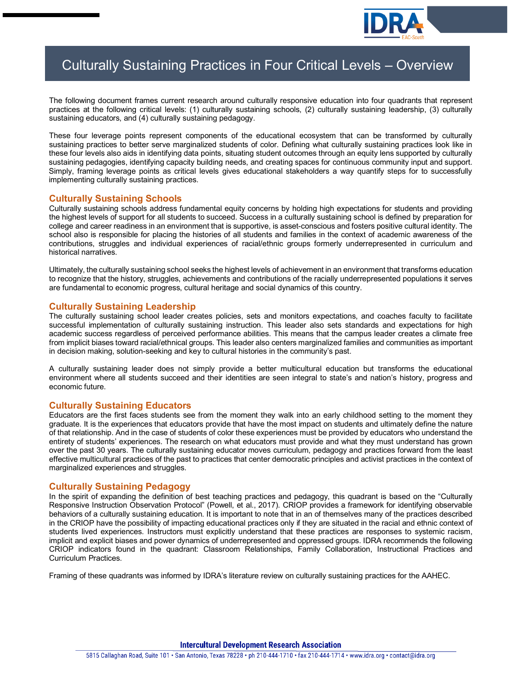

# Culturally Sustaining Practices in Four Critical Levels – Overview

The following document frames current research around culturally responsive education into four quadrants that represent practices at the following critical levels: (1) culturally sustaining schools, (2) culturally sustaining leadership, (3) culturally sustaining educators, and (4) culturally sustaining pedagogy.

These four leverage points represent components of the educational ecosystem that can be transformed by culturally sustaining practices to better serve marginalized students of color. Defining what culturally sustaining practices look like in these four levels also aids in identifying data points, situating student outcomes through an equity lens supported by culturally sustaining pedagogies, identifying capacity building needs, and creating spaces for continuous community input and support. Simply, framing leverage points as critical levels gives educational stakeholders a way quantify steps for to successfully implementing culturally sustaining practices.

# **Culturally Sustaining Schools**

Culturally sustaining schools address fundamental equity concerns by holding high expectations for students and providing the highest levels of support for all students to succeed. Success in a culturally sustaining school is defined by preparation for college and career readiness in an environment that is supportive, is asset-conscious and fosters positive cultural identity. The school also is responsible for placing the histories of all students and families in the context of academic awareness of the contributions, struggles and individual experiences of racial/ethnic groups formerly underrepresented in curriculum and historical narratives.

Ultimately, the culturally sustaining school seeks the highest levels of achievement in an environment that transforms education to recognize that the history, struggles, achievements and contributions of the racially underrepresented populations it serves are fundamental to economic progress, cultural heritage and social dynamics of this country.

### **Culturally Sustaining Leadership**

The culturally sustaining school leader creates policies, sets and monitors expectations, and coaches faculty to facilitate successful implementation of culturally sustaining instruction. This leader also sets standards and expectations for high academic success regardless of perceived performance abilities. This means that the campus leader creates a climate free from implicit biases toward racial/ethnical groups. This leader also centers marginalized families and communities as important in decision making, solution-seeking and key to cultural histories in the community's past.

A culturally sustaining leader does not simply provide a better multicultural education but transforms the educational environment where all students succeed and their identities are seen integral to state's and nation's history, progress and economic future.

### **Culturally Sustaining Educators**

Educators are the first faces students see from the moment they walk into an early childhood setting to the moment they graduate. It is the experiences that educators provide that have the most impact on students and ultimately define the nature of that relationship. And in the case of students of color these experiences must be provided by educators who understand the entirety of students' experiences. The research on what educators must provide and what they must understand has grown over the past 30 years. The culturally sustaining educator moves curriculum, pedagogy and practices forward from the least effective multicultural practices of the past to practices that center democratic principles and activist practices in the context of marginalized experiences and struggles.

### **Culturally Sustaining Pedagogy**

In the spirit of expanding the definition of best teaching practices and pedagogy, this quadrant is based on the "Culturally Responsive Instruction Observation Protocol" (Powell, et al., 2017). CRIOP provides a framework for identifying observable behaviors of a culturally sustaining education. It is important to note that in an of themselves many of the practices described in the CRIOP have the possibility of impacting educational practices only if they are situated in the racial and ethnic context of students lived experiences. Instructors must explicitly understand that these practices are responses to systemic racism, implicit and explicit biases and power dynamics of underrepresented and oppressed groups. IDRA recommends the following CRIOP indicators found in the quadrant: Classroom Relationships, Family Collaboration, Instructional Practices and Curriculum Practices.

Framing of these quadrants was informed by IDRA's literature review on culturally sustaining practices for the AAHEC.